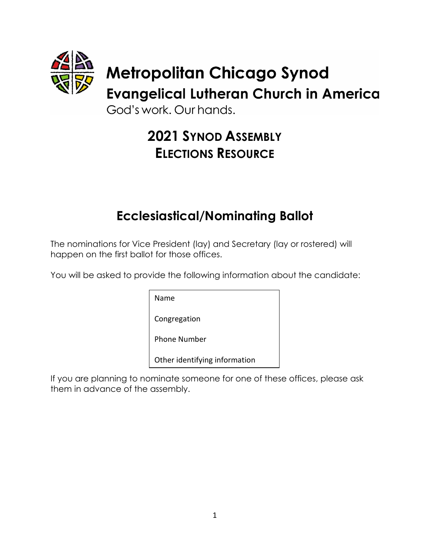

# **2021 SYNOD ASSEMBLY ELECTIONS RESOURCE**

# **Ecclesiastical/Nominating Ballot**

The nominations for Vice President (lay) and Secretary (lay or rostered) will happen on the first ballot for those offices.

You will be asked to provide the following information about the candidate:

Name

Congregation

Phone Number

Other identifying information

If you are planning to nominate someone for one of these offices, please ask them in advance of the assembly.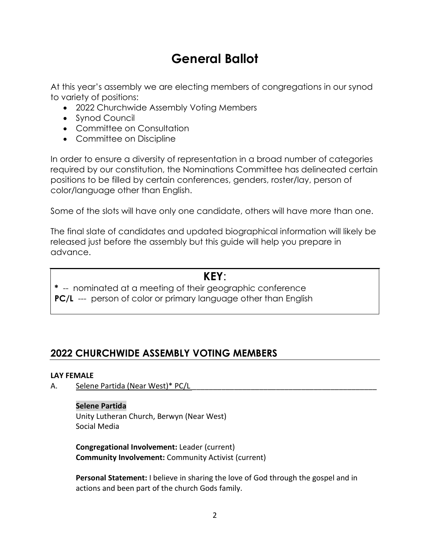# **General Ballot**

At this year's assembly we are electing members of congregations in our synod to variety of positions:

- 2022 Churchwide Assembly Voting Members
- Synod Council
- Committee on Consultation
- Committee on Discipline

In order to ensure a diversity of representation in a broad number of categories required by our constitution, the Nominations Committee has delineated certain positions to be filled by certain conferences, genders, roster/lay, person of color/language other than English.

Some of the slots will have only one candidate, others will have more than one.

The final slate of candidates and updated biographical information will likely be released just before the assembly but this guide will help you prepare in advance.

## **KEY**:

**\*** -- nominated at a meeting of their geographic conference

**PC/L** --- person of color or primary language other than English

# **2022 CHURCHWIDE ASSEMBLY VOTING MEMBERS**

## **LAY FEMALE**

A. Selene Partida (Near West)\* PC/L

## **Selene Partida**

Unity Lutheran Church, Berwyn (Near West) Social Media

**Congregational Involvement:** Leader (current) **Community Involvement:** Community Activist (current)

**Personal Statement:** I believe in sharing the love of God through the gospel and in actions and been part of the church Gods family.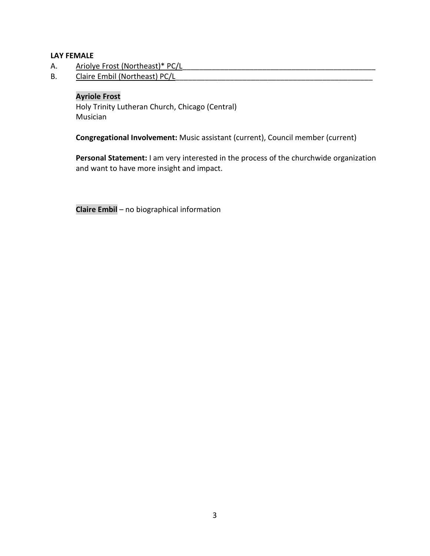## **LAY FEMALE**

- A. Ariolye Frost (Northeast)\* PC/L
- B. Claire Embil (Northeast) PC/L

## **Ayriole Frost**

Holy Trinity Lutheran Church, Chicago (Central) Musician

**Congregational Involvement:** Music assistant (current), Council member (current)

**Personal Statement:** I am very interested in the process of the churchwide organization and want to have more insight and impact.

**Claire Embil** – no biographical information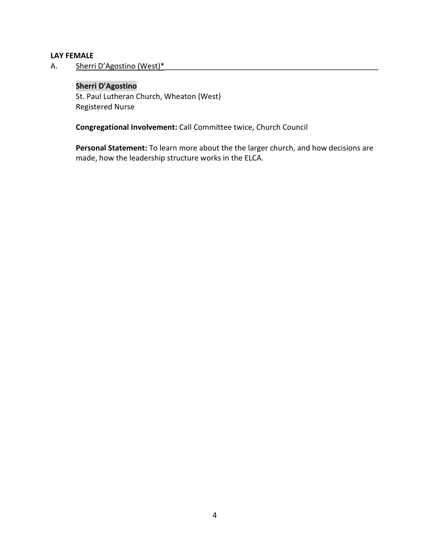#### **LAY FEMALE**

A. Sherri D'Agostino (West)\*

## **Sherri D'Agostino**

St. Paul Lutheran Church, Wheaton (West) Registered Nurse

**Congregational Involvement:** Call Committee twice, Church Council

**Personal Statement:** To learn more about the the larger church, and how decisions are made, how the leadership structure works in the ELCA.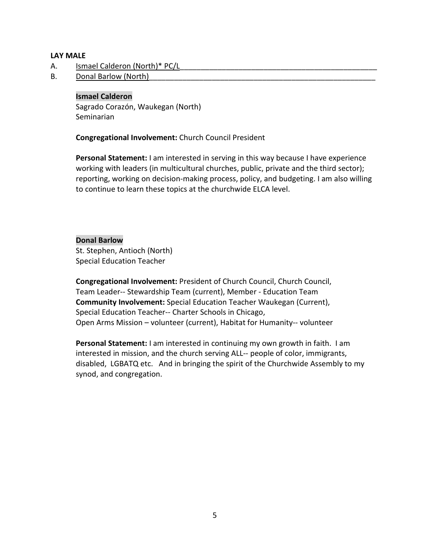#### **LAY MALE**

- A. Ismael Calderon (North)\* PC/L
- B. Donal Barlow (North)

## **Ismael Calderon**

Sagrado Corazón, Waukegan (North) Seminarian

**Congregational Involvement:** Church Council President

**Personal Statement:** I am interested in serving in this way because I have experience working with leaders (in multicultural churches, public, private and the third sector); reporting, working on decision-making process, policy, and budgeting. I am also willing to continue to learn these topics at the churchwide ELCA level.

## **Donal Barlow**

St. Stephen, Antioch (North) Special Education Teacher

**Congregational Involvement:** President of Church Council, Church Council, Team Leader-- Stewardship Team (current), Member - Education Team **Community Involvement:** Special Education Teacher Waukegan (Current), Special Education Teacher-- Charter Schools in Chicago, Open Arms Mission – volunteer (current), Habitat for Humanity-- volunteer

**Personal Statement:** I am interested in continuing my own growth in faith. I am interested in mission, and the church serving ALL-- people of color, immigrants, disabled, LGBATQ etc. And in bringing the spirit of the Churchwide Assembly to my synod, and congregation.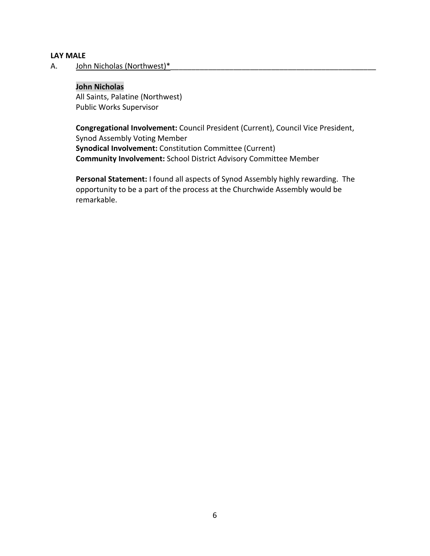#### **LAY MALE**

A. John Nicholas (Northwest)\*

#### **John Nicholas**

All Saints, Palatine (Northwest) Public Works Supervisor

**Congregational Involvement:** Council President (Current), Council Vice President, Synod Assembly Voting Member **Synodical Involvement:** Constitution Committee (Current) **Community Involvement:** School District Advisory Committee Member

**Personal Statement:** I found all aspects of Synod Assembly highly rewarding. The opportunity to be a part of the process at the Churchwide Assembly would be remarkable.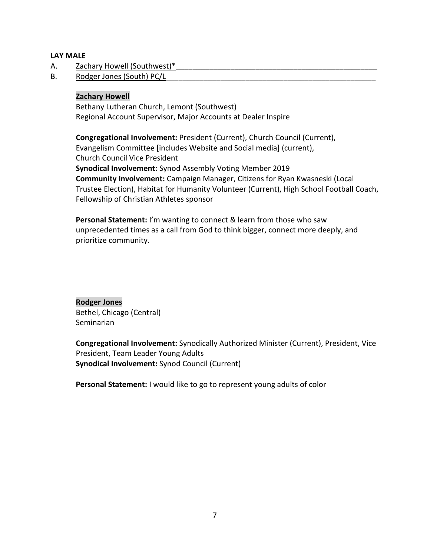## **LAY MALE**

- A. Zachary Howell (Southwest)\*
- B. Rodger Jones (South) PC/L

## **Zachary Howell**

Bethany Lutheran Church, Lemont (Southwest) Regional Account Supervisor, Major Accounts at Dealer Inspire

**Congregational Involvement:** President (Current), Church Council (Current), Evangelism Committee [includes Website and Social media] (current), Church Council Vice President **Synodical Involvement:** Synod Assembly Voting Member 2019 **Community Involvement:** Campaign Manager, Citizens for Ryan Kwasneski (Local Trustee Election), Habitat for Humanity Volunteer (Current), High School Football Coach, Fellowship of Christian Athletes sponsor

**Personal Statement:** I'm wanting to connect & learn from those who saw unprecedented times as a call from God to think bigger, connect more deeply, and prioritize community.

**Rodger Jones** Bethel, Chicago (Central) Seminarian

**Congregational Involvement:** Synodically Authorized Minister (Current), President, Vice President, Team Leader Young Adults **Synodical Involvement:** Synod Council (Current)

**Personal Statement:** I would like to go to represent young adults of color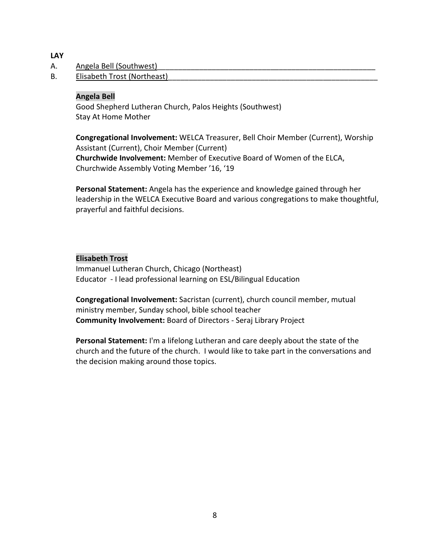**LAY**

- A. Angela Bell (Southwest)
- B. Elisabeth Trost (Northeast)

## **Angela Bell**

Good Shepherd Lutheran Church, Palos Heights (Southwest) Stay At Home Mother

**Congregational Involvement:** WELCA Treasurer, Bell Choir Member (Current), Worship Assistant (Current), Choir Member (Current) **Churchwide Involvement:** Member of Executive Board of Women of the ELCA, Churchwide Assembly Voting Member '16, '19

**Personal Statement:** Angela has the experience and knowledge gained through her leadership in the WELCA Executive Board and various congregations to make thoughtful, prayerful and faithful decisions.

## **Elisabeth Trost**

Immanuel Lutheran Church, Chicago (Northeast) Educator - I lead professional learning on ESL/Bilingual Education

**Congregational Involvement:** Sacristan (current), church council member, mutual ministry member, Sunday school, bible school teacher **Community Involvement:** Board of Directors - Seraj Library Project

**Personal Statement:** I'm a lifelong Lutheran and care deeply about the state of the church and the future of the church. I would like to take part in the conversations and the decision making around those topics.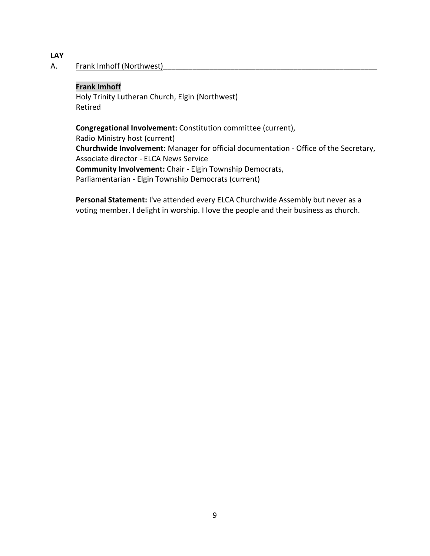## **LAY**

## A. Frank Imhoff (Northwest)

## **Frank Imhoff**

Holy Trinity Lutheran Church, Elgin (Northwest) Retired

**Congregational Involvement:** Constitution committee (current), Radio Ministry host (current) **Churchwide Involvement:** Manager for official documentation - Office of the Secretary, Associate director - ELCA News Service **Community Involvement:** Chair - Elgin Township Democrats, Parliamentarian - Elgin Township Democrats (current)

**Personal Statement:** I've attended every ELCA Churchwide Assembly but never as a voting member. I delight in worship. I love the people and their business as church.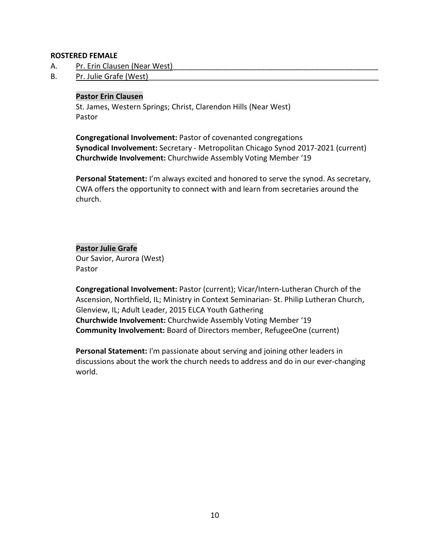#### **ROSTERED FEMALE**

- A. Pr. Erin Clausen (Near West)
- B. Pr. Julie Grafe (West)

## **Pastor Erin Clausen**

St. James, Western Springs; Christ, Clarendon Hills (Near West) Pastor

**Congregational Involvement:** Pastor of covenanted congregations **Synodical Involvement:** Secretary - Metropolitan Chicago Synod 2017-2021 (current) **Churchwide Involvement:** Churchwide Assembly Voting Member '19

**Personal Statement:** I'm always excited and honored to serve the synod. As secretary, CWA offers the opportunity to connect with and learn from secretaries around the church.

**Pastor Julie Grafe** Our Savior, Aurora (West) Pastor

**Congregational Involvement:** Pastor (current); Vicar/Intern-Lutheran Church of the Ascension, Northfield, IL; Ministry in Context Seminarian- St. Philip Lutheran Church, Glenview, IL; Adult Leader, 2015 ELCA Youth Gathering **Churchwide Involvement:** Churchwide Assembly Voting Member '19 **Community Involvement:** Board of Directors member, RefugeeOne (current)

**Personal Statement:** I'm passionate about serving and joining other leaders in discussions about the work the church needs to address and do in our ever-changing world.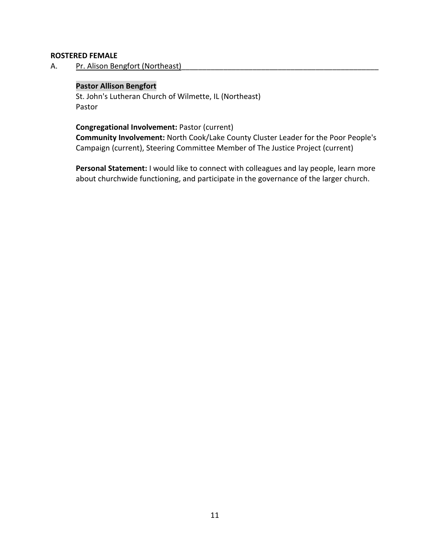## **ROSTERED FEMALE**

A. Pr. Alison Bengfort (Northeast)

## **Pastor Allison Bengfort**

St. John's Lutheran Church of Wilmette, IL (Northeast) Pastor

## **Congregational Involvement:** Pastor (current)

**Community Involvement:** North Cook/Lake County Cluster Leader for the Poor People's Campaign (current), Steering Committee Member of The Justice Project (current)

**Personal Statement:** I would like to connect with colleagues and lay people, learn more about churchwide functioning, and participate in the governance of the larger church.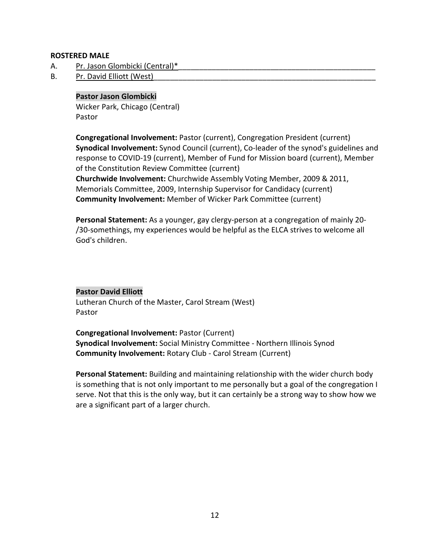## **ROSTERED MALE**

- A. Pr. Jason Glombicki (Central)\*
- B. Pr. David Elliott (West)

## **Pastor Jason Glombicki**

Wicker Park, Chicago (Central) Pastor

**Congregational Involvement:** Pastor (current), Congregation President (current) **Synodical Involvement:** Synod Council (current), Co-leader of the synod's guidelines and response to COVID-19 (current), Member of Fund for Mission board (current), Member of the Constitution Review Committee (current) **Churchwide Involvement:** Churchwide Assembly Voting Member, 2009 & 2011, Memorials Committee, 2009, Internship Supervisor for Candidacy (current) **Community Involvement:** Member of Wicker Park Committee (current)

**Personal Statement:** As a younger, gay clergy-person at a congregation of mainly 20- /30-somethings, my experiences would be helpful as the ELCA strives to welcome all God's children.

#### **Pastor David Elliott**

Lutheran Church of the Master, Carol Stream (West) Pastor

**Congregational Involvement:** Pastor (Current) **Synodical Involvement:** Social Ministry Committee - Northern Illinois Synod **Community Involvement:** Rotary Club - Carol Stream (Current)

**Personal Statement:** Building and maintaining relationship with the wider church body is something that is not only important to me personally but a goal of the congregation I serve. Not that this is the only way, but it can certainly be a strong way to show how we are a significant part of a larger church.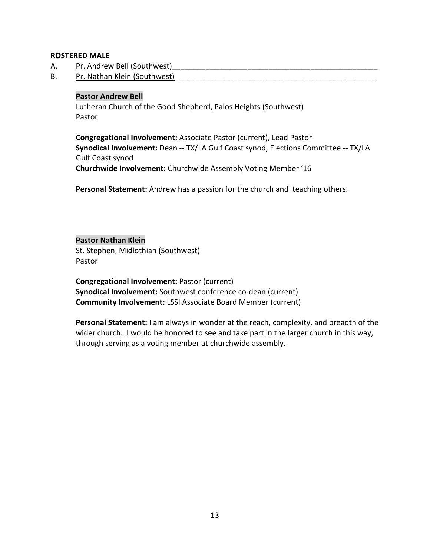## **ROSTERED MALE**

- A. Pr. Andrew Bell (Southwest)
- B. Pr. Nathan Klein (Southwest)

#### **Pastor Andrew Bell**

Lutheran Church of the Good Shepherd, Palos Heights (Southwest) Pastor

**Congregational Involvement:** Associate Pastor (current), Lead Pastor **Synodical Involvement:** Dean -- TX/LA Gulf Coast synod, Elections Committee -- TX/LA Gulf Coast synod **Churchwide Involvement:** Churchwide Assembly Voting Member '16

**Personal Statement:** Andrew has a passion for the church and teaching others.

## **Pastor Nathan Klein**

St. Stephen, Midlothian (Southwest) Pastor

**Congregational Involvement:** Pastor (current) **Synodical Involvement:** Southwest conference co-dean (current) **Community Involvement:** LSSI Associate Board Member (current)

**Personal Statement:** I am always in wonder at the reach, complexity, and breadth of the wider church. I would be honored to see and take part in the larger church in this way, through serving as a voting member at churchwide assembly.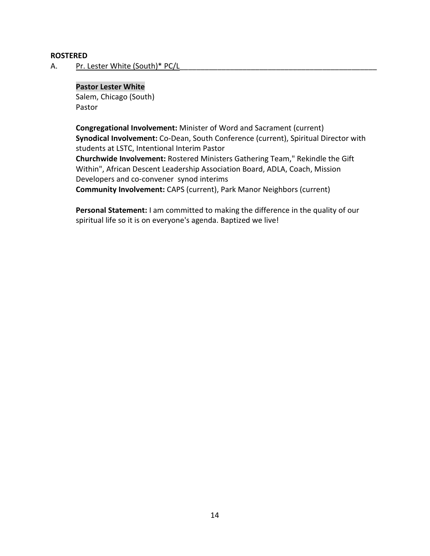#### **ROSTERED**

A. Pr. Lester White (South)\* PC/L

#### **Pastor Lester White**

Salem, Chicago (South) Pastor

**Congregational Involvement:** Minister of Word and Sacrament (current) **Synodical Involvement:** Co-Dean, South Conference (current), Spiritual Director with students at LSTC, Intentional Interim Pastor **Churchwide Involvement:** Rostered Ministers Gathering Team," Rekindle the Gift Within", African Descent Leadership Association Board, ADLA, Coach, Mission Developers and co-convener synod interims **Community Involvement:** CAPS (current), Park Manor Neighbors (current)

**Personal Statement:** I am committed to making the difference in the quality of our spiritual life so it is on everyone's agenda. Baptized we live!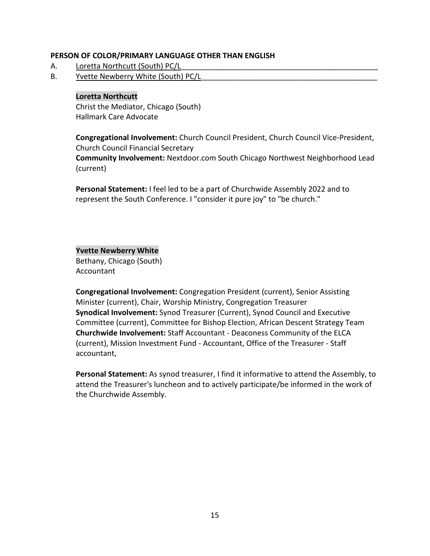## **PERSON OF COLOR/PRIMARY LANGUAGE OTHER THAN ENGLISH**

- A. Loretta Northcutt (South) PC/L
- B. Yvette Newberry White (South) PC/L

## **Loretta Northcutt**

Christ the Mediator, Chicago (South) Hallmark Care Advocate

**Congregational Involvement:** Church Council President, Church Council Vice-President, Church Council Financial Secretary

**Community Involvement:** Nextdoor.com South Chicago Northwest Neighborhood Lead (current)

**Personal Statement:** I feel led to be a part of Churchwide Assembly 2022 and to represent the South Conference. I "consider it pure joy" to "be church."

## **Yvette Newberry White**

Bethany, Chicago (South) Accountant

**Congregational Involvement:** Congregation President (current), Senior Assisting Minister (current), Chair, Worship Ministry, Congregation Treasurer **Synodical Involvement:** Synod Treasurer (Current), Synod Council and Executive Committee (current), Committee for Bishop Election, African Descent Strategy Team **Churchwide Involvement:** Staff Accountant - Deaconess Community of the ELCA (current), Mission Investment Fund - Accountant, Office of the Treasurer - Staff accountant,

**Personal Statement:** As synod treasurer, I find it informative to attend the Assembly, to attend the Treasurer's luncheon and to actively participate/be informed in the work of the Churchwide Assembly.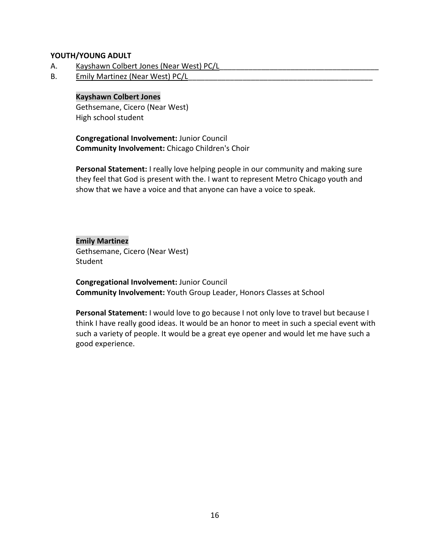## **YOUTH/YOUNG ADULT**

- A. Kayshawn Colbert Jones (Near West) PC/L
- B. Emily Martinez (Near West) PC/L

#### **Kayshawn Colbert Jones**

Gethsemane, Cicero (Near West) High school student

**Congregational Involvement:** Junior Council **Community Involvement:** Chicago Children's Choir

**Personal Statement:** I really love helping people in our community and making sure they feel that God is present with the. I want to represent Metro Chicago youth and show that we have a voice and that anyone can have a voice to speak.

**Emily Martinez** Gethsemane, Cicero (Near West) **Student** 

**Congregational Involvement:** Junior Council **Community Involvement:** Youth Group Leader, Honors Classes at School

**Personal Statement:** I would love to go because I not only love to travel but because I think I have really good ideas. It would be an honor to meet in such a special event with such a variety of people. It would be a great eye opener and would let me have such a good experience.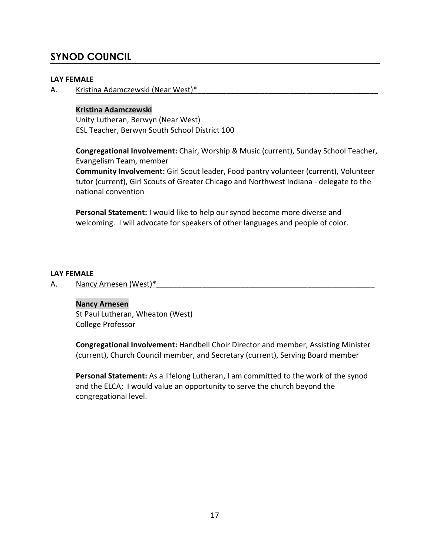## **SYNOD COUNCIL**

## **LAY FEMALE**

A. Kristina Adamczewski (Near West)\*

## **Kristina Adamczewski**

Unity Lutheran, Berwyn (Near West) ESL Teacher, Berwyn South School District 100

**Congregational Involvement:** Chair, Worship & Music (current), Sunday School Teacher, Evangelism Team, member

**Community Involvement:** Girl Scout leader, Food pantry volunteer (current), Volunteer tutor (current), Girl Scouts of Greater Chicago and Northwest Indiana - delegate to the national convention

**Personal Statement:** I would like to help our synod become more diverse and welcoming. I will advocate for speakers of other languages and people of color.

## **LAY FEMALE**

A. Nancy Arnesen (West)\*

## **Nancy Arnesen**

St Paul Lutheran, Wheaton (West) College Professor

**Congregational Involvement:** Handbell Choir Director and member, Assisting Minister (current), Church Council member, and Secretary (current), Serving Board member

**Personal Statement:** As a lifelong Lutheran, I am committed to the work of the synod and the ELCA; I would value an opportunity to serve the church beyond the congregational level.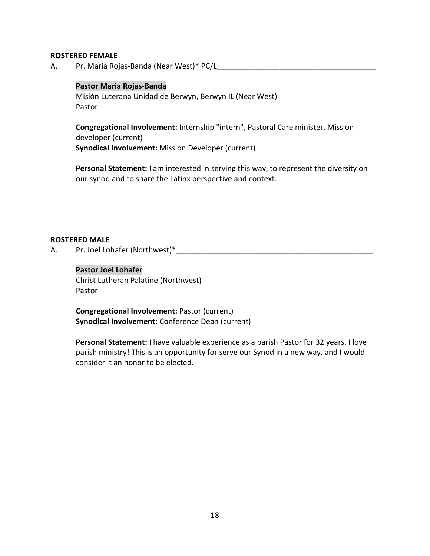#### **ROSTERED FEMALE**

A. Pr. María Rojas-Banda (Near West)\* PC/L

## **Pastor Maria Rojas-Banda**

Misión Luterana Unidad de Berwyn, Berwyn IL (Near West) Pastor

**Congregational Involvement:** Internship "intern", Pastoral Care minister, Mission developer (current) **Synodical Involvement:** Mission Developer (current)

**Personal Statement:** I am interested in serving this way, to represent the diversity on our synod and to share the Latinx perspective and context.

#### **ROSTERED MALE**

A. Pr. Joel Lohafer (Northwest)\*

## **Pastor Joel Lohafer**

Christ Lutheran Palatine (Northwest) Pastor

**Congregational Involvement:** Pastor (current) **Synodical Involvement:** Conference Dean (current)

**Personal Statement:** I have valuable experience as a parish Pastor for 32 years. I love parish ministry! This is an opportunity for serve our Synod in a new way, and I would consider it an honor to be elected.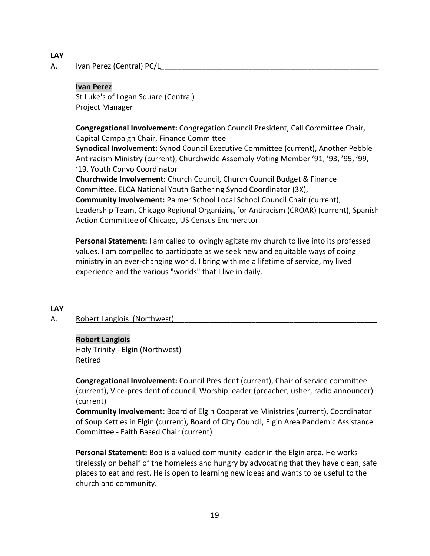## **LAY**

## A. Ivan Perez (Central) PC/L

#### **Ivan Perez**

St Luke's of Logan Square (Central) Project Manager

**Congregational Involvement:** Congregation Council President, Call Committee Chair, Capital Campaign Chair, Finance Committee

**Synodical Involvement:** Synod Council Executive Committee (current), Another Pebble Antiracism Ministry (current), Churchwide Assembly Voting Member '91, '93, '95, '99, '19, Youth Convo Coordinator

**Churchwide Involvement:** Church Council, Church Council Budget & Finance Committee, ELCA National Youth Gathering Synod Coordinator (3X), **Community Involvement:** Palmer School Local School Council Chair (current), Leadership Team, Chicago Regional Organizing for Antiracism (CROAR) (current), Spanish Action Committee of Chicago, US Census Enumerator

**Personal Statement:** I am called to lovingly agitate my church to live into its professed values. I am compelled to participate as we seek new and equitable ways of doing ministry in an ever-changing world. I bring with me a lifetime of service, my lived experience and the various "worlds" that I live in daily.

## **LAY**

## A. Robert Langlois (Northwest)

#### **Robert Langlois**

Holy Trinity - Elgin (Northwest) Retired

**Congregational Involvement:** Council President (current), Chair of service committee (current), Vice-president of council, Worship leader (preacher, usher, radio announcer) (current)

**Community Involvement:** Board of Elgin Cooperative Ministries (current), Coordinator of Soup Kettles in Elgin (current), Board of City Council, Elgin Area Pandemic Assistance Committee - Faith Based Chair (current)

**Personal Statement:** Bob is a valued community leader in the Elgin area. He works tirelessly on behalf of the homeless and hungry by advocating that they have clean, safe places to eat and rest. He is open to learning new ideas and wants to be useful to the church and community.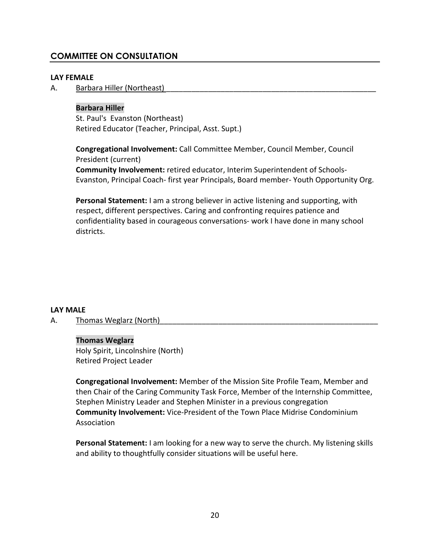## **COMMITTEE ON CONSULTATION**

## **LAY FEMALE**

A. Barbara Hiller (Northeast)

## **Barbara Hiller**

St. Paul's Evanston (Northeast) Retired Educator (Teacher, Principal, Asst. Supt.)

**Congregational Involvement:** Call Committee Member, Council Member, Council President (current)

**Community Involvement:** retired educator, Interim Superintendent of Schools-Evanston, Principal Coach- first year Principals, Board member- Youth Opportunity Org.

**Personal Statement:** I am a strong believer in active listening and supporting, with respect, different perspectives. Caring and confronting requires patience and confidentiality based in courageous conversations- work I have done in many school districts.

## **LAY MALE**

A. Thomas Weglarz (North)

#### **Thomas Weglarz**

Holy Spirit, Lincolnshire (North) Retired Project Leader

**Congregational Involvement:** Member of the Mission Site Profile Team, Member and then Chair of the Caring Community Task Force, Member of the Internship Committee, Stephen Ministry Leader and Stephen Minister in a previous congregation **Community Involvement:** Vice-President of the Town Place Midrise Condominium Association

**Personal Statement:** I am looking for a new way to serve the church. My listening skills and ability to thoughtfully consider situations will be useful here.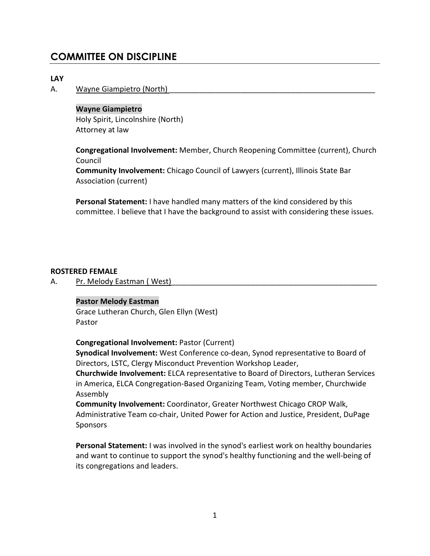## **COMMITTEE ON DISCIPLINE**

## **LAY**

#### A. Wayne Giampietro (North)

#### **Wayne Giampietro**

Holy Spirit, Lincolnshire (North) Attorney at law

**Congregational Involvement:** Member, Church Reopening Committee (current), Church Council

**Community Involvement:** Chicago Council of Lawyers (current), Illinois State Bar Association (current)

**Personal Statement:** I have handled many matters of the kind considered by this committee. I believe that I have the background to assist with considering these issues.

#### **ROSTERED FEMALE**

A. Pr. Melody Eastman (West)

#### **Pastor Melody Eastman**

Grace Lutheran Church, Glen Ellyn (West) Pastor

**Congregational Involvement:** Pastor (Current)

**Synodical Involvement:** West Conference co-dean, Synod representative to Board of Directors, LSTC, Clergy Misconduct Prevention Workshop Leader,

**Churchwide Involvement:** ELCA representative to Board of Directors, Lutheran Services in America, ELCA Congregation-Based Organizing Team, Voting member, Churchwide Assembly

**Community Involvement:** Coordinator, Greater Northwest Chicago CROP Walk, Administrative Team co-chair, United Power for Action and Justice, President, DuPage Sponsors

**Personal Statement:** I was involved in the synod's earliest work on healthy boundaries and want to continue to support the synod's healthy functioning and the well-being of its congregations and leaders.